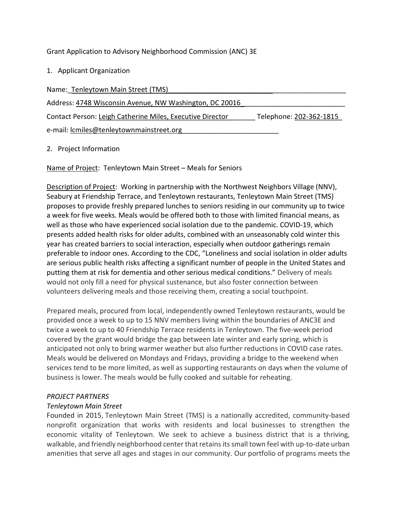Grant Application to Advisory Neighborhood Commission (ANC) 3E

1. Applicant Organization

| Name: Tenleytown Main Street (TMS)                        |                         |
|-----------------------------------------------------------|-------------------------|
| Address: 4748 Wisconsin Avenue, NW Washington, DC 20016   |                         |
| Contact Person: Leigh Catherine Miles, Executive Director | Telephone: 202-362-1815 |
| e-mail: lcmiles@tenleytownmainstreet.org                  |                         |

### 2. Project Information

Name of Project: Tenleytown Main Street - Meals for Seniors

Description of Project: Working in partnership with the Northwest Neighbors Village (NNV), Seabury at Friendship Terrace, and Tenleytown restaurants, Tenleytown Main Street (TMS) proposes to provide freshly prepared lunches to seniors residing in our community up to twice a week for five weeks. Meals would be offered both to those with limited financial means, as well as those who have experienced social isolation due to the pandemic. COVID-19, which presents added health risks for older adults, combined with an unseasonably cold winter this year has created barriers to social interaction, especially when outdoor gatherings remain preferable to indoor ones. According to the CDC, "Loneliness and social isolation in older adults are serious public health risks affecting a significant number of people in the United States and putting them at risk for dementia and other serious medical conditions." Delivery of meals would not only fill a need for physical sustenance, but also foster connection between volunteers delivering meals and those receiving them, creating a social touchpoint.

Prepared meals, procured from local, independently owned Tenleytown restaurants, would be provided once a week to up to 15 NNV members living within the boundaries of ANC3E and twice a week to up to 40 Friendship Terrace residents in Tenleytown. The five-week period covered by the grant would bridge the gap between late winter and early spring, which is anticipated not only to bring warmer weather but also further reductions in COVID case rates. Meals would be delivered on Mondays and Fridays, providing a bridge to the weekend when services tend to be more limited, as well as supporting restaurants on days when the volume of business is lower. The meals would be fully cooked and suitable for reheating.

#### PROJECT PARTNERS

# Tenleytown Main Street

Founded in 2015, Tenleytown Main Street (TMS) is a nationally accredited, community-based nonprofit organization that works with residents and local businesses to strengthen the economic vitality of Tenleytown. We seek to achieve a business district that is a thriving, walkable, and friendly neighborhood center that retains its small town feel with up-to-date urban amenities that serve all ages and stages in our community. Our portfolio of programs meets the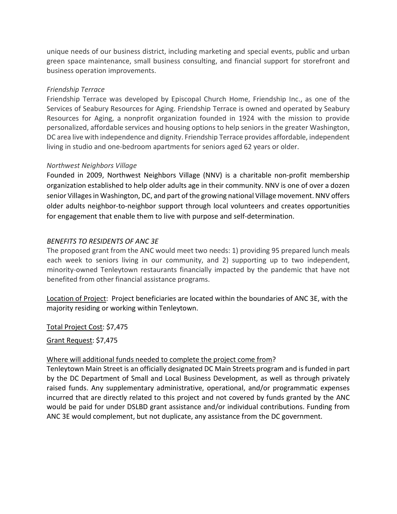unique needs of our business district, including marketing and special events, public and urban green space maintenance, small business consulting, and financial support for storefront and business operation improvements.

### Friendship Terrace

Friendship Terrace was developed by Episcopal Church Home, Friendship Inc., as one of the Services of Seabury Resources for Aging. Friendship Terrace is owned and operated by Seabury Resources for Aging, a nonprofit organization founded in 1924 with the mission to provide personalized, affordable services and housing options to help seniors in the greater Washington, DC area live with independence and dignity. Friendship Terrace provides affordable, independent living in studio and one-bedroom apartments for seniors aged 62 years or older.

### Northwest Neighbors Village

Founded in 2009, Northwest Neighbors Village (NNV) is a charitable non-profit membership organization established to help older adults age in their community. NNV is one of over a dozen senior Villages in Washington, DC, and part of the growing national Village movement. NNV offers older adults neighbor-to-neighbor support through local volunteers and creates opportunities for engagement that enable them to live with purpose and self-determination.

### BENEFITS TO RESIDENTS OF ANC 3E

The proposed grant from the ANC would meet two needs: 1) providing 95 prepared lunch meals each week to seniors living in our community, and 2) supporting up to two independent, minority-owned Tenleytown restaurants financially impacted by the pandemic that have not benefited from other financial assistance programs.

Location of Project: Project beneficiaries are located within the boundaries of ANC 3E, with the majority residing or working within Tenleytown.

Total Project Cost: \$7,475

Grant Request: \$7,475

# Where will additional funds needed to complete the project come from?

Tenleytown Main Street is an officially designated DC Main Streets program and is funded in part by the DC Department of Small and Local Business Development, as well as through privately raised funds. Any supplementary administrative, operational, and/or programmatic expenses incurred that are directly related to this project and not covered by funds granted by the ANC would be paid for under DSLBD grant assistance and/or individual contributions. Funding from ANC 3E would complement, but not duplicate, any assistance from the DC government.